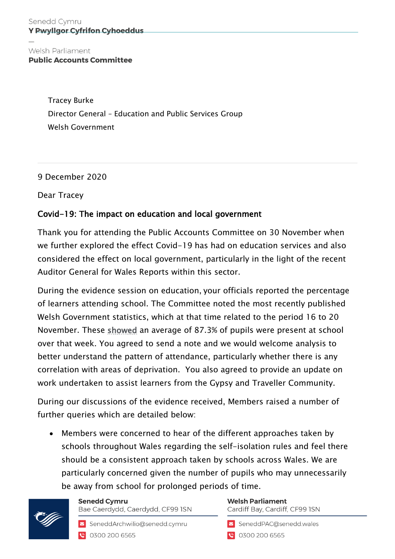Welsh Parliament **Public Accounts Committee** 

> Tracey Burke Director General – Education and Public Services Group Welsh Government

9 December 2020

Dear Tracey

## Covid-19: The impact on education and local government

Thank you for attending the Public Accounts Committee on 30 November when we further explored the effect Covid-19 has had on education services and also considered the effect on local government, particularly in the light of the recent Auditor General for Wales Reports within this sector.

During the evidence session on education, your officials reported the percentage of learners attending school. The Committee noted the most recently published Welsh Government statistics, which at that time related to the period 16 to 20 November. These [showed](https://gov.wales/pupils-present-maintained-schools-7-september-20-november-2020) an average of 87.3% of pupils were present at school over that week. You agreed to send a note and we would welcome analysis to better understand the pattern of attendance, particularly whether there is any correlation with areas of deprivation. You also agreed to provide an update on work undertaken to assist learners from the Gypsy and Traveller Community.

During our discussions of the evidence received, Members raised a number of further queries which are detailed below:

• Members were concerned to hear of the different approaches taken by schools throughout Wales regarding the self-isolation rules and feel there should be a consistent approach taken by schools across Wales. We are particularly concerned given the number of pupils who may unnecessarily be away from school for prolonged periods of time.



**Senedd Cymru** Bae Caerdydd, Caerdydd, CF99 ISN

SeneddArchwilio@senedd.cymru 0300 200 6565

**Welsh Parliament** Cardiff Bay, Cardiff, CF99 ISN

SeneddPAC@senedd.wales

● 0300 200 6565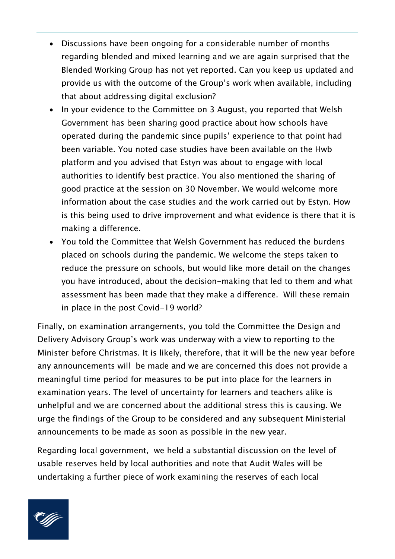- Discussions have been ongoing for a considerable number of months regarding blended and mixed learning and we are again surprised that the Blended Working Group has not yet reported. Can you keep us updated and provide us with the outcome of the Group's work when available, including that about addressing digital exclusion?
- In your evidence to the Committee on 3 August, you reported that Welsh Government has been sharing good practice about how schools have operated during the pandemic since pupils' experience to that point had been variable. You noted case studies have been available on the Hwb platform and you advised that Estyn was about to engage with local authorities to identify best practice. You also mentioned the sharing of good practice at the session on 30 November. We would welcome more information about the case studies and the work carried out by Estyn. How is this being used to drive improvement and what evidence is there that it is making a difference.
- You told the Committee that Welsh Government has reduced the burdens placed on schools during the pandemic. We welcome the steps taken to reduce the pressure on schools, but would like more detail on the changes you have introduced, about the decision-making that led to them and what assessment has been made that they make a difference. Will these remain in place in the post Covid-19 world?

Finally, on examination arrangements, you told the Committee the Design and Delivery Advisory Group's work was underway with a view to reporting to the Minister before Christmas. It is likely, therefore, that it will be the new year before any announcements will be made and we are concerned this does not provide a meaningful time period for measures to be put into place for the learners in examination years. The level of uncertainty for learners and teachers alike is unhelpful and we are concerned about the additional stress this is causing. We urge the findings of the Group to be considered and any subsequent Ministerial announcements to be made as soon as possible in the new year.

Regarding local government, we held a substantial discussion on the level of usable reserves held by local authorities and note that Audit Wales will be undertaking a further piece of work examining the reserves of each local